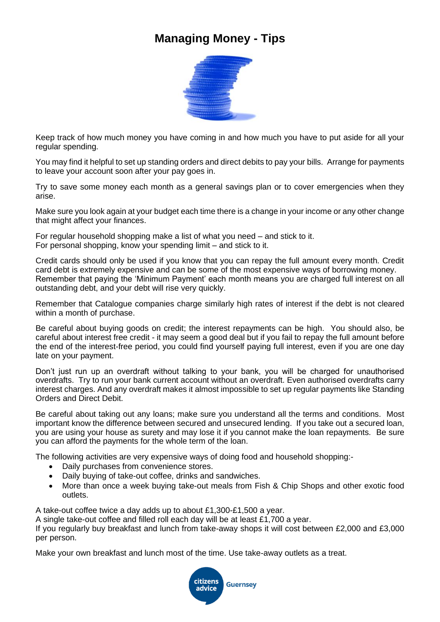## **Managing Money - Tips**



Keep track of how much money you have coming in and how much you have to put aside for all your regular spending.

You may find it helpful to set up standing orders and direct debits to pay your bills. Arrange for payments to leave your account soon after your pay goes in.

Try to save some money each month as a general savings plan or to cover emergencies when they arise.

Make sure you look again at your budget each time there is a change in your income or any other change that might affect your finances.

For regular household shopping make a list of what you need – and stick to it. For personal shopping, know your spending limit – and stick to it.

Credit cards should only be used if you know that you can repay the full amount every month. Credit card debt is extremely expensive and can be some of the most expensive ways of borrowing money. Remember that paying the 'Minimum Payment' each month means you are charged full interest on all outstanding debt, and your debt will rise very quickly.

Remember that Catalogue companies charge similarly high rates of interest if the debt is not cleared within a month of purchase.

Be careful about buying goods on credit; the interest repayments can be high. You should also, be careful about interest free credit - it may seem a good deal but if you fail to repay the full amount before the end of the interest-free period, you could find yourself paying full interest, even if you are one day late on your payment.

Don't just run up an overdraft without talking to your bank, you will be charged for unauthorised overdrafts. Try to run your bank current account without an overdraft. Even authorised overdrafts carry interest charges. And any overdraft makes it almost impossible to set up regular payments like Standing Orders and Direct Debit.

Be careful about taking out any loans; make sure you understand all the terms and conditions. Most important know the difference between secured and unsecured lending. If you take out a secured loan, you are using your house as surety and may lose it if you cannot make the loan repayments. Be sure you can afford the payments for the whole term of the loan.

The following activities are very expensive ways of doing food and household shopping:-

- Daily purchases from convenience stores.
- Daily buying of take-out coffee, drinks and sandwiches.
- More than once a week buying take-out meals from Fish & Chip Shops and other exotic food outlets.

A take-out coffee twice a day adds up to about £1,300-£1,500 a year.

A single take-out coffee and filled roll each day will be at least £1,700 a year.

If you regularly buy breakfast and lunch from take-away shops it will cost between £2,000 and £3,000 per person.

Make your own breakfast and lunch most of the time. Use take-away outlets as a treat.